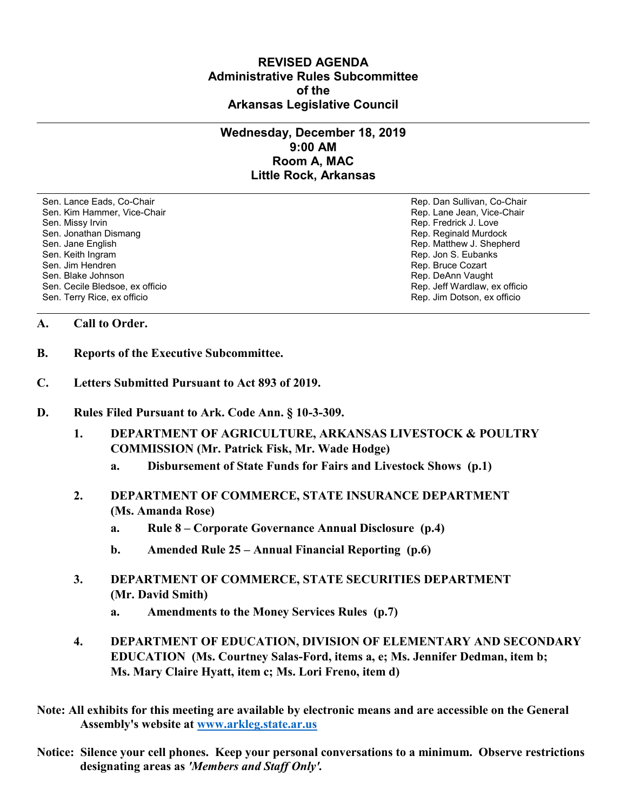## **REVISED AGENDA Administrative Rules Subcommittee of the Arkansas Legislative Council**

## **Wednesday, December 18, 2019 9:00 AM Room A, MAC Little Rock, Arkansas**

Sen. Lance Eads, Co-Chair Rep. Dan Sullivan, Co-Chair Sen. Kim Hammer, Vice-Chair **Rep. Lane Jean, Vice-Chair** Rep. Lane Jean, Vice-Chair Sen. Missy Irvin New York 1, 2008 and the sense of the sense of the Sense of Technical Sense of Technical Australian Sense of Technical Australian Sense of Technical Australian Sense of Technical Australian Sense of Techni Sen. Jonathan Dismang Rep. Reginald Murdock Sen. Jane English Rep. Matthew J. Shepherd Rep. Matthew J. Shepherd Sen. Keith Ingram Rep. Jon S. Eubanks (Sen. Keith Ingram Rep. Jon S. Eubanks (Sen. Jon S. Eubanks (Sen. Jon S. Eubanks (Sen. Jon S. Eubanks (Sen. Jon S. Eubanks (Sen. Jon S. Eubanks (Sen. Jon S. Eubanks (Sen. Jon S. Eubank Sen. Blake Johnson (Sen. 1999)<br>Sen. Cecile Bledsoe, ex officio (Sen. 1999)<br>Sen. Cecile Bledsoe, ex officio (Sen. 1999) Sen. Cecile Bledsoe, ex officio Sen. Terry Rice, ex officio Rep. Jim Dotson, ex officio

Rep. Bruce Cozart

## **A. Call to Order.**

- **B. Reports of the Executive Subcommittee.**
- **C. Letters Submitted Pursuant to Act 893 of 2019.**
- **D. Rules Filed Pursuant to Ark. Code Ann. § 10-3-309.**
	- **1. DEPARTMENT OF AGRICULTURE, ARKANSAS LIVESTOCK & POULTRY COMMISSION (Mr. Patrick Fisk, Mr. Wade Hodge)**
		- **a. Disbursement of State Funds for Fairs and Livestock Shows (p.1)**
	- **2. DEPARTMENT OF COMMERCE, STATE INSURANCE DEPARTMENT (Ms. Amanda Rose)**
		- **a. Rule 8 – Corporate Governance Annual Disclosure (p.4)**
		- **b. Amended Rule 25 – Annual Financial Reporting (p.6)**
	- **3. DEPARTMENT OF COMMERCE, STATE SECURITIES DEPARTMENT (Mr. David Smith)**
		- **a. Amendments to the Money Services Rules (p.7)**
	- **4. DEPARTMENT OF EDUCATION, DIVISION OF ELEMENTARY AND SECONDARY EDUCATION (Ms. Courtney Salas-Ford, items a, e; Ms. Jennifer Dedman, item b; Ms. Mary Claire Hyatt, item c; Ms. Lori Freno, item d)**
- **Note: All exhibits for this meeting are available by electronic means and are accessible on the General Assembly's website at [www.arkleg.state.ar.us](http://www.arkleg.state.ar.us)**
- **Notice: Silence your cell phones. Keep your personal conversations to a minimum. Observe restrictions designating areas as** *'Members and Staff Only'.*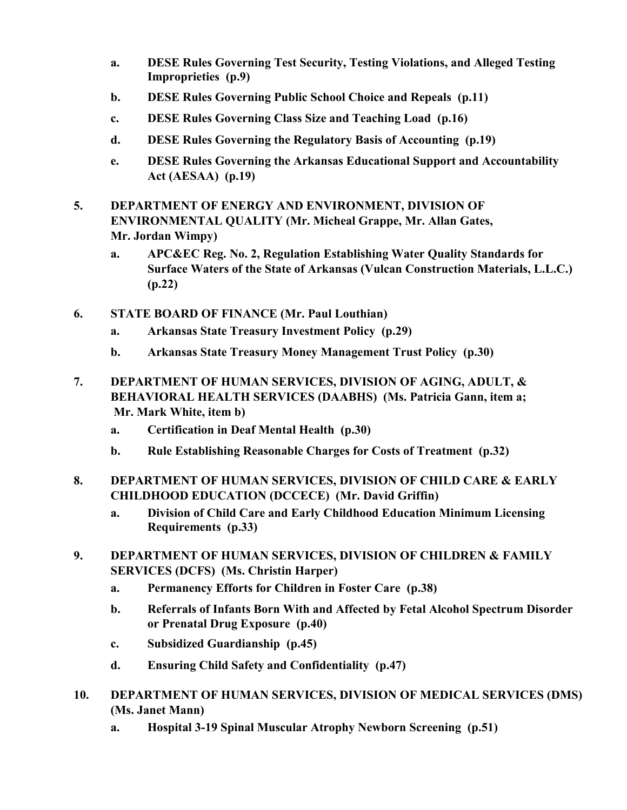- **a. DESE Rules Governing Test Security, Testing Violations, and Alleged Testing Improprieties (p.9)**
- **b. DESE Rules Governing Public School Choice and Repeals (p.11)**
- **c. DESE Rules Governing Class Size and Teaching Load (p.16)**
- **d. DESE Rules Governing the Regulatory Basis of Accounting (p.19)**
- **e. DESE Rules Governing the Arkansas Educational Support and Accountability Act (AESAA) (p.19)**
- **5. DEPARTMENT OF ENERGY AND ENVIRONMENT, DIVISION OF ENVIRONMENTAL QUALITY (Mr. Micheal Grappe, Mr. Allan Gates, Mr. Jordan Wimpy)**
	- **a. APC&EC Reg. No. 2, Regulation Establishing Water Quality Standards for Surface Waters of the State of Arkansas (Vulcan Construction Materials, L.L.C.) (p.22)**
- **6. STATE BOARD OF FINANCE (Mr. Paul Louthian)**
	- **a. Arkansas State Treasury Investment Policy (p.29)**
	- **b. Arkansas State Treasury Money Management Trust Policy (p.30)**
- **7. DEPARTMENT OF HUMAN SERVICES, DIVISION OF AGING, ADULT, & BEHAVIORAL HEALTH SERVICES (DAABHS) (Ms. Patricia Gann, item a; Mr. Mark White, item b)**
	- **a. Certification in Deaf Mental Health (p.30)**
	- **b. Rule Establishing Reasonable Charges for Costs of Treatment (p.32)**
- **8. DEPARTMENT OF HUMAN SERVICES, DIVISION OF CHILD CARE & EARLY CHILDHOOD EDUCATION (DCCECE) (Mr. David Griffin)**
	- **a. Division of Child Care and Early Childhood Education Minimum Licensing Requirements (p.33)**
- **9. DEPARTMENT OF HUMAN SERVICES, DIVISION OF CHILDREN & FAMILY SERVICES (DCFS) (Ms. Christin Harper)**
	- **a. Permanency Efforts for Children in Foster Care (p.38)**
	- **b. Referrals of Infants Born With and Affected by Fetal Alcohol Spectrum Disorder or Prenatal Drug Exposure (p.40)**
	- **c. Subsidized Guardianship (p.45)**
	- **d. Ensuring Child Safety and Confidentiality (p.47)**
- **10. DEPARTMENT OF HUMAN SERVICES, DIVISION OF MEDICAL SERVICES (DMS) (Ms. Janet Mann)**
	- **a. Hospital 3-19 Spinal Muscular Atrophy Newborn Screening (p.51)**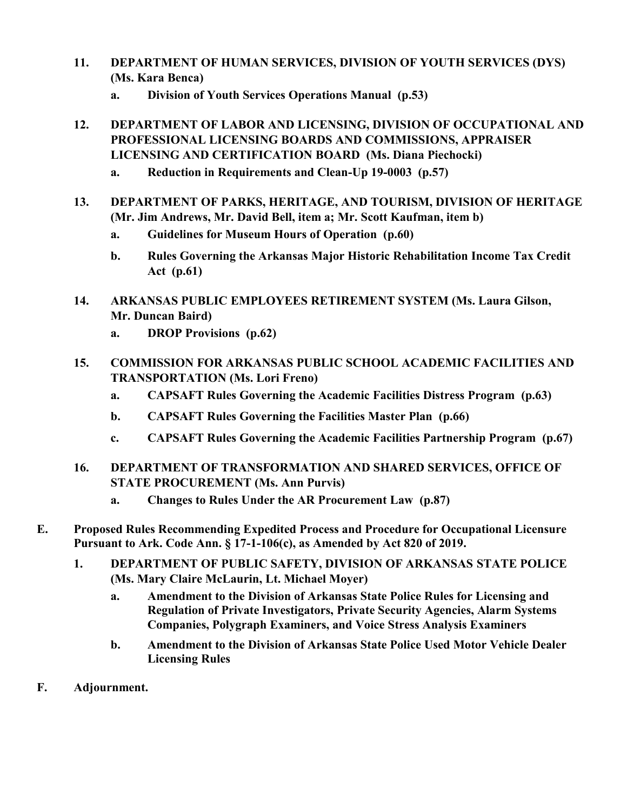- **11. DEPARTMENT OF HUMAN SERVICES, DIVISION OF YOUTH SERVICES (DYS) (Ms. Kara Benca)**
	- **a. Division of Youth Services Operations Manual (p.53)**
- **12. DEPARTMENT OF LABOR AND LICENSING, DIVISION OF OCCUPATIONAL AND PROFESSIONAL LICENSING BOARDS AND COMMISSIONS, APPRAISER LICENSING AND CERTIFICATION BOARD (Ms. Diana Piechocki)**
	- **a. Reduction in Requirements and Clean-Up 19-0003 (p.57)**
- **13. DEPARTMENT OF PARKS, HERITAGE, AND TOURISM, DIVISION OF HERITAGE (Mr. Jim Andrews, Mr. David Bell, item a; Mr. Scott Kaufman, item b)**
	- **a. Guidelines for Museum Hours of Operation (p.60)**
	- **b. Rules Governing the Arkansas Major Historic Rehabilitation Income Tax Credit Act (p.61)**
- **14. ARKANSAS PUBLIC EMPLOYEES RETIREMENT SYSTEM (Ms. Laura Gilson, Mr. Duncan Baird)**
	- **a. DROP Provisions (p.62)**
- **15. COMMISSION FOR ARKANSAS PUBLIC SCHOOL ACADEMIC FACILITIES AND TRANSPORTATION (Ms. Lori Freno)**
	- **a. CAPSAFT Rules Governing the Academic Facilities Distress Program (p.63)**
	- **b. CAPSAFT Rules Governing the Facilities Master Plan (p.66)**
	- **c. CAPSAFT Rules Governing the Academic Facilities Partnership Program (p.67)**
- **16. DEPARTMENT OF TRANSFORMATION AND SHARED SERVICES, OFFICE OF STATE PROCUREMENT (Ms. Ann Purvis)**
	- **a. Changes to Rules Under the AR Procurement Law (p.87)**
- **E. Proposed Rules Recommending Expedited Process and Procedure for Occupational Licensure Pursuant to Ark. Code Ann. § 17-1-106(c), as Amended by Act 820 of 2019.**
	- **1. DEPARTMENT OF PUBLIC SAFETY, DIVISION OF ARKANSAS STATE POLICE (Ms. Mary Claire McLaurin, Lt. Michael Moyer)**
		- **a. Amendment to the Division of Arkansas State Police Rules for Licensing and Regulation of Private Investigators, Private Security Agencies, Alarm Systems Companies, Polygraph Examiners, and Voice Stress Analysis Examiners**
		- **b. Amendment to the Division of Arkansas State Police Used Motor Vehicle Dealer Licensing Rules**
- **F. Adjournment.**